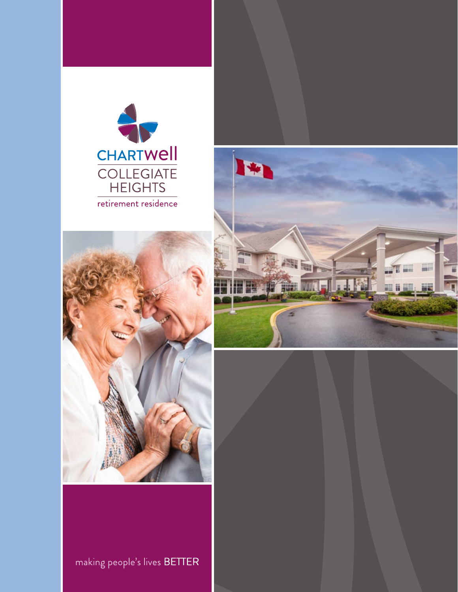





making people's lives BETTER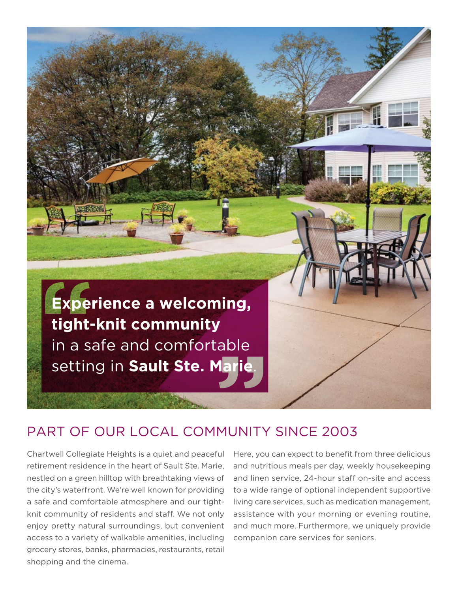

## PART OF OUR LOCAL COMMUNITY SINCE 2003

Chartwell Collegiate Heights is a quiet and peaceful retirement residence in the heart of Sault Ste. Marie, nestled on a green hilltop with breathtaking views of the city's waterfront. We're well known for providing a safe and comfortable atmosphere and our tightknit community of residents and staff. We not only enjoy pretty natural surroundings, but convenient access to a variety of walkable amenities, including grocery stores, banks, pharmacies, restaurants, retail shopping and the cinema.

Here, you can expect to benefit from three delicious and nutritious meals per day, weekly housekeeping and linen service, 24-hour staff on-site and access to a wide range of optional independent supportive living care services, such as medication management, assistance with your morning or evening routine, and much more. Furthermore, we uniquely provide companion care services for seniors.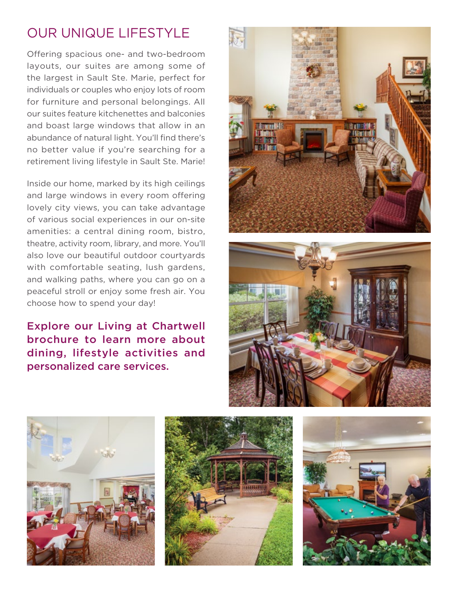## OUR UNIQUE LIFESTYLE

Offering spacious one- and two-bedroom layouts, our suites are among some of the largest in Sault Ste. Marie, perfect for individuals or couples who enjoy lots of room for furniture and personal belongings. All our suites feature kitchenettes and balconies and boast large windows that allow in an abundance of natural light. You'll find there's no better value if you're searching for a retirement living lifestyle in Sault Ste. Marie!

Inside our home, marked by its high ceilings and large windows in every room offering lovely city views, you can take advantage of various social experiences in our on-site amenities: a central dining room, bistro, theatre, activity room, library, and more. You'll also love our beautiful outdoor courtyards with comfortable seating, lush gardens, and walking paths, where you can go on a peaceful stroll or enjoy some fresh air. You choose how to spend your day!

Explore our Living at Chartwell brochure to learn more about dining, lifestyle activities and personalized care services.









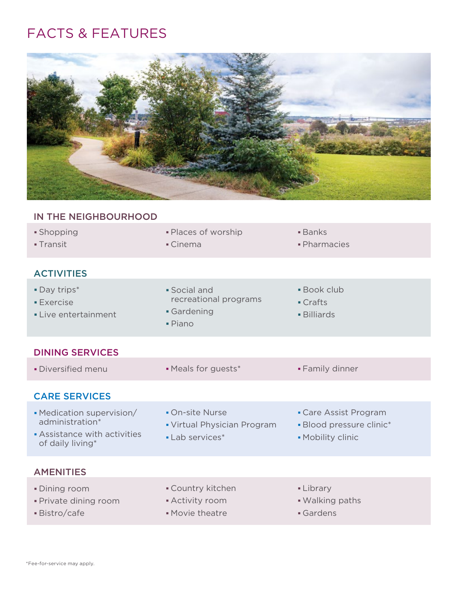## FACTS & FEATURES



| IN THE NEIGHBOURHOOD                                                                           |                                                                   |                                                                        |
|------------------------------------------------------------------------------------------------|-------------------------------------------------------------------|------------------------------------------------------------------------|
| · Shopping<br>- Transit                                                                        | · Places of worship<br>• Cinema                                   | $\blacksquare$ Banks<br>· Pharmacies                                   |
| <b>ACTIVITIES</b>                                                                              |                                                                   |                                                                        |
| • Day trips*<br><b>Exercise</b><br>• Live entertainment                                        | • Social and<br>recreational programs<br>Gardening<br>· Piano     | <b>Book club</b><br>$\blacksquare$ Crafts<br><b>- Billiards</b>        |
| <b>DINING SERVICES</b>                                                                         |                                                                   |                                                                        |
| · Diversified menu                                                                             | • Meals for guests*                                               | • Family dinner                                                        |
| <b>CARE SERVICES</b>                                                                           |                                                                   |                                                                        |
| • Medication supervision/<br>administration*<br>Assistance with activities<br>of daily living* | • On-site Nurse<br>• Virtual Physician Program<br>• Lab services* | • Care Assist Program<br>· Blood pressure clinic*<br>• Mobility clinic |
| <b>AMENITIES</b>                                                                               |                                                                   |                                                                        |
| <b>Dining room</b><br>· Private dining room<br>· Bistro/cafe                                   | <b>Country kitchen</b><br>• Activity room<br>• Movie theatre      | • Library<br>. Walking paths<br>Gardens                                |
|                                                                                                |                                                                   |                                                                        |